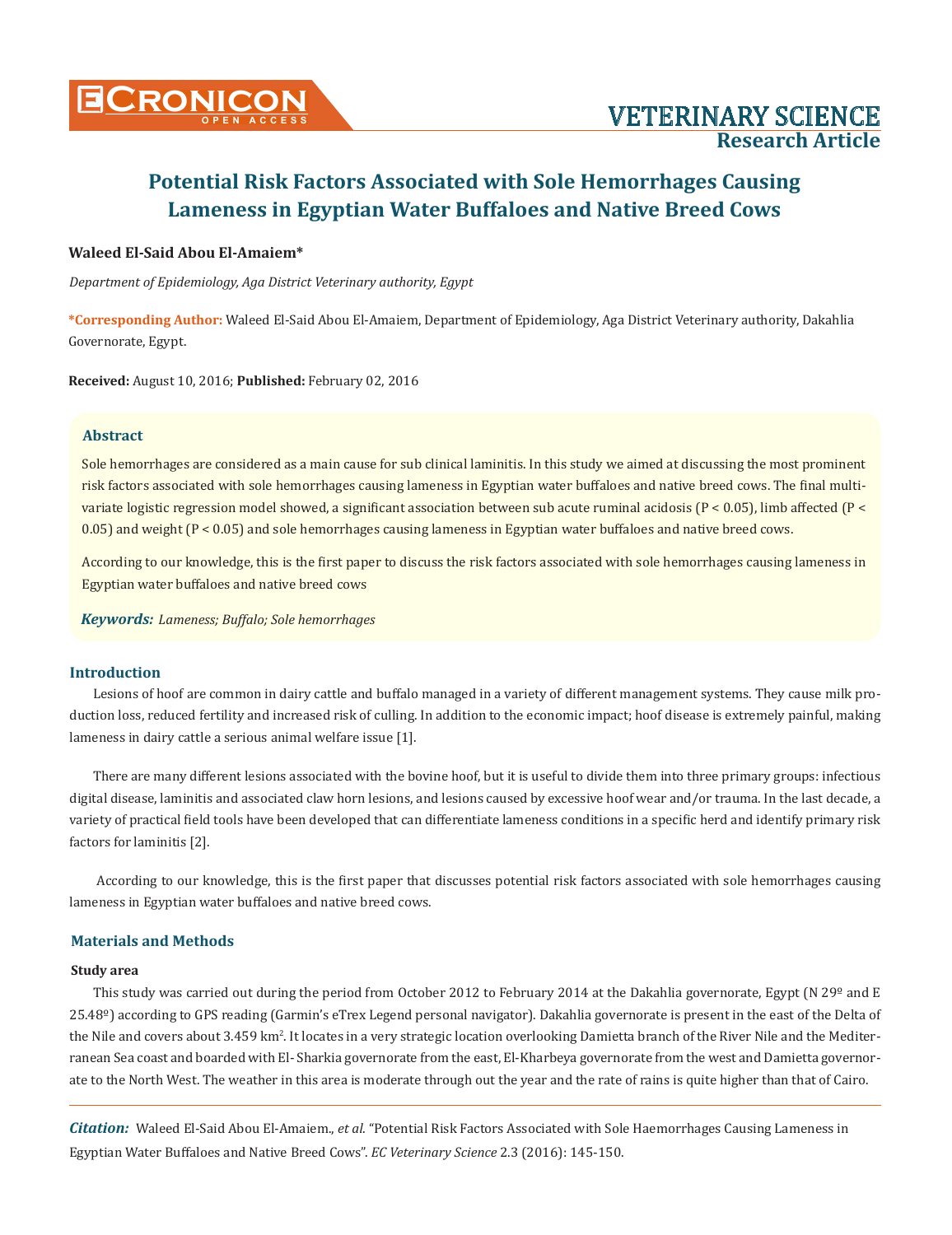

### **Waleed El-Said Abou El-Amaiem\***

*Department of Epidemiology, Aga District Veterinary authority, Egypt*

**\*Corresponding Author:** Waleed El-Said Abou El-Amaiem, Department of Epidemiology, Aga District Veterinary authority, Dakahlia Governorate, Egypt.

**Received:** August 10, 2016; **Published:** February 02, 2016

#### **Abstract**

Sole hemorrhages are considered as a main cause for sub clinical laminitis. In this study we aimed at discussing the most prominent risk factors associated with sole hemorrhages causing lameness in Egyptian water buffaloes and native breed cows. The final multivariate logistic regression model showed, a significant association between sub acute ruminal acidosis (P < 0.05), limb affected (P < 0.05) and weight (P < 0.05) and sole hemorrhages causing lameness in Egyptian water buffaloes and native breed cows.

According to our knowledge, this is the first paper to discuss the risk factors associated with sole hemorrhages causing lameness in Egyptian water buffaloes and native breed cows

*Keywords: Lameness; Buffalo; Sole hemorrhages*

#### **Introduction**

Lesions of hoof are common in dairy cattle and buffalo managed in a variety of different management systems. They cause milk production loss, reduced fertility and increased risk of culling. In addition to the economic impact; hoof disease is extremely painful, making lameness in dairy cattle a serious animal welfare issue [1].

There are many different lesions associated with the bovine hoof, but it is useful to divide them into three primary groups: infectious digital disease, laminitis and associated claw horn lesions, and lesions caused by excessive hoof wear and/or trauma. In the last decade, a variety of practical field tools have been developed that can differentiate lameness conditions in a specific herd and identify primary risk factors for laminitis [2].

 According to our knowledge, this is the first paper that discusses potential risk factors associated with sole hemorrhages causing lameness in Egyptian water buffaloes and native breed cows.

### **Materials and Methods**

#### **Study area**

This study was carried out during the period from October 2012 to February 2014 at the Dakahlia governorate, Egypt (N 29<sup>o</sup> and E 25.48º) according to GPS reading (Garmin's eTrex Legend personal navigator). Dakahlia governorate is present in the east of the Delta of the Nile and covers about 3.459 km². It locates in a very strategic location overlooking Damietta branch of the River Nile and the Mediterranean Sea coast and boarded with El- Sharkia governorate from the east, El-Kharbeya governorate from the west and Damietta governorate to the North West. The weather in this area is moderate through out the year and the rate of rains is quite higher than that of Cairo.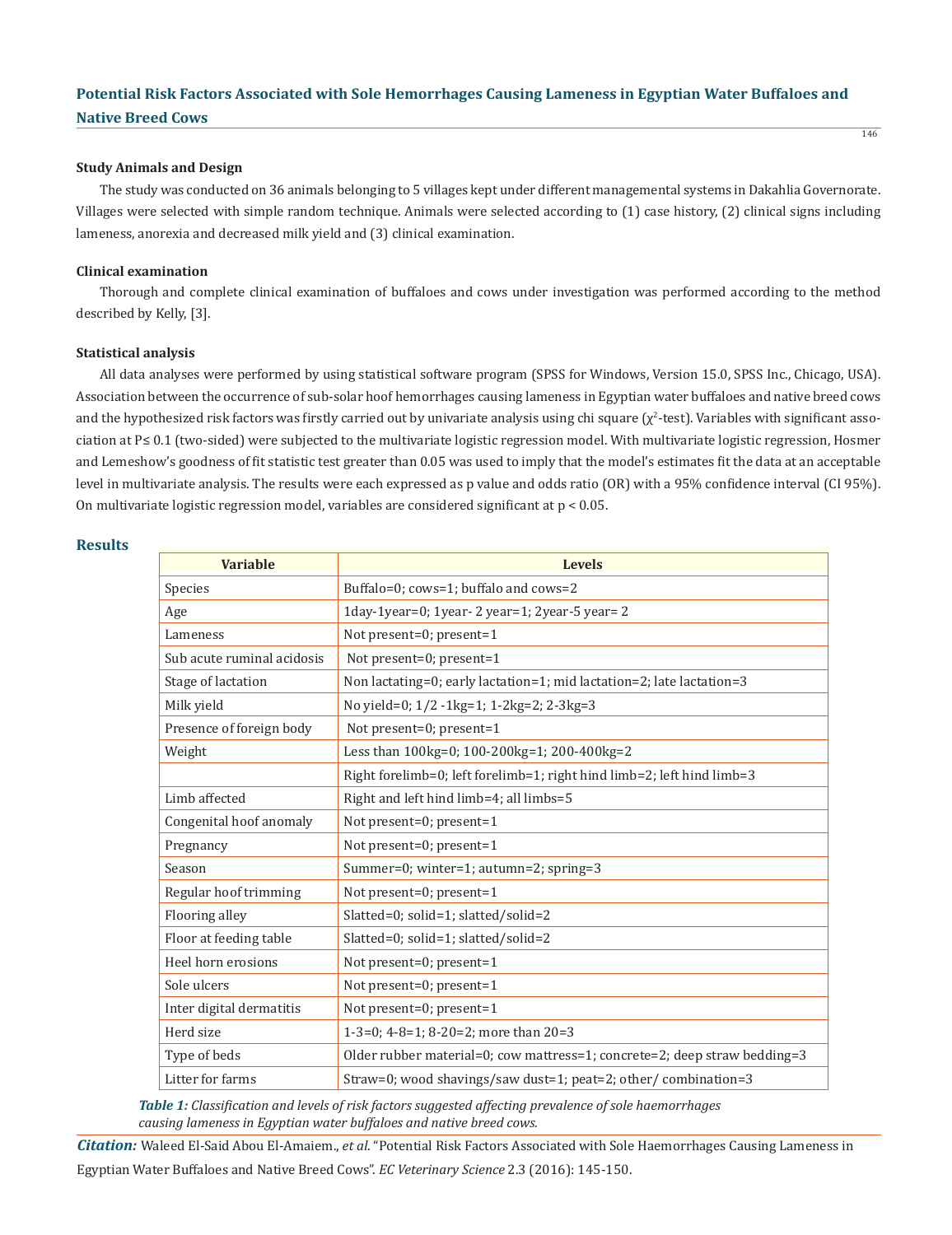#### **Study Animals and Design**

The study was conducted on 36 animals belonging to 5 villages kept under different managemental systems in Dakahlia Governorate. Villages were selected with simple random technique. Animals were selected according to (1) case history, (2) clinical signs including lameness, anorexia and decreased milk yield and (3) clinical examination.

146

#### **Clinical examination**

Thorough and complete clinical examination of buffaloes and cows under investigation was performed according to the method described by Kelly, [3].

#### **Statistical analysis**

All data analyses were performed by using statistical software program (SPSS for Windows, Version 15.0, SPSS Inc., Chicago, USA). Association between the occurrence of sub-solar hoof hemorrhages causing lameness in Egyptian water buffaloes and native breed cows and the hypothesized risk factors was firstly carried out by univariate analysis using chi square  $(\chi^2$ -test). Variables with significant association at P≤ 0.1 (two-sided) were subjected to the multivariate logistic regression model. With multivariate logistic regression, Hosmer and Lemeshow's goodness of fit statistic test greater than 0.05 was used to imply that the model's estimates fit the data at an acceptable level in multivariate analysis. The results were each expressed as p value and odds ratio (OR) with a 95% confidence interval (CI 95%). On multivariate logistic regression model, variables are considered significant at p < 0.05.

### **Results**

| <b>Variable</b>            | <b>Levels</b>                                                             |  |  |  |
|----------------------------|---------------------------------------------------------------------------|--|--|--|
| Species                    | Buffalo=0; cows=1; buffalo and cows=2                                     |  |  |  |
| Age                        | 1day-1year=0; 1year-2 year=1; 2year-5 year=2                              |  |  |  |
| Lameness                   | Not present=0; present=1                                                  |  |  |  |
| Sub acute ruminal acidosis | Not present=0; present=1                                                  |  |  |  |
| Stage of lactation         | Non lactating=0; early lactation=1; mid lactation=2; late lactation=3     |  |  |  |
| Milk yield                 | No yield=0; 1/2 -1kg=1; 1-2kg=2; 2-3kg=3                                  |  |  |  |
| Presence of foreign body   | Not present=0; present=1                                                  |  |  |  |
| Weight                     | Less than 100kg=0; 100-200kg=1; 200-400kg=2                               |  |  |  |
|                            | Right forelimb=0; left forelimb=1; right hind limb=2; left hind limb=3    |  |  |  |
| Limb affected              | Right and left hind limb=4; all limbs=5                                   |  |  |  |
| Congenital hoof anomaly    | Not present=0; present=1                                                  |  |  |  |
| Pregnancy                  | Not present=0; present=1                                                  |  |  |  |
| Season                     | Summer=0; winter=1; autumn=2; spring=3                                    |  |  |  |
| Regular hoof trimming      | Not present=0; present=1                                                  |  |  |  |
| Flooring alley             | Slatted=0; solid=1; slatted/solid=2                                       |  |  |  |
| Floor at feeding table     | Slatted=0; solid=1; slatted/solid=2                                       |  |  |  |
| Heel horn erosions         | Not present=0; present=1                                                  |  |  |  |
| Sole ulcers                | Not present=0; present=1                                                  |  |  |  |
| Inter digital dermatitis   | Not present=0; present=1                                                  |  |  |  |
| Herd size                  | 1-3=0; 4-8=1; 8-20=2; more than $20=3$                                    |  |  |  |
| Type of beds               | Older rubber material=0; cow mattress=1; concrete=2; deep straw bedding=3 |  |  |  |
| Litter for farms           | Straw=0; wood shavings/saw dust=1; peat=2; other/ combination=3           |  |  |  |

*Table 1: Classification and levels of risk factors suggested affecting prevalence of sole haemorrhages causing lameness in Egyptian water buffaloes and native breed cows.*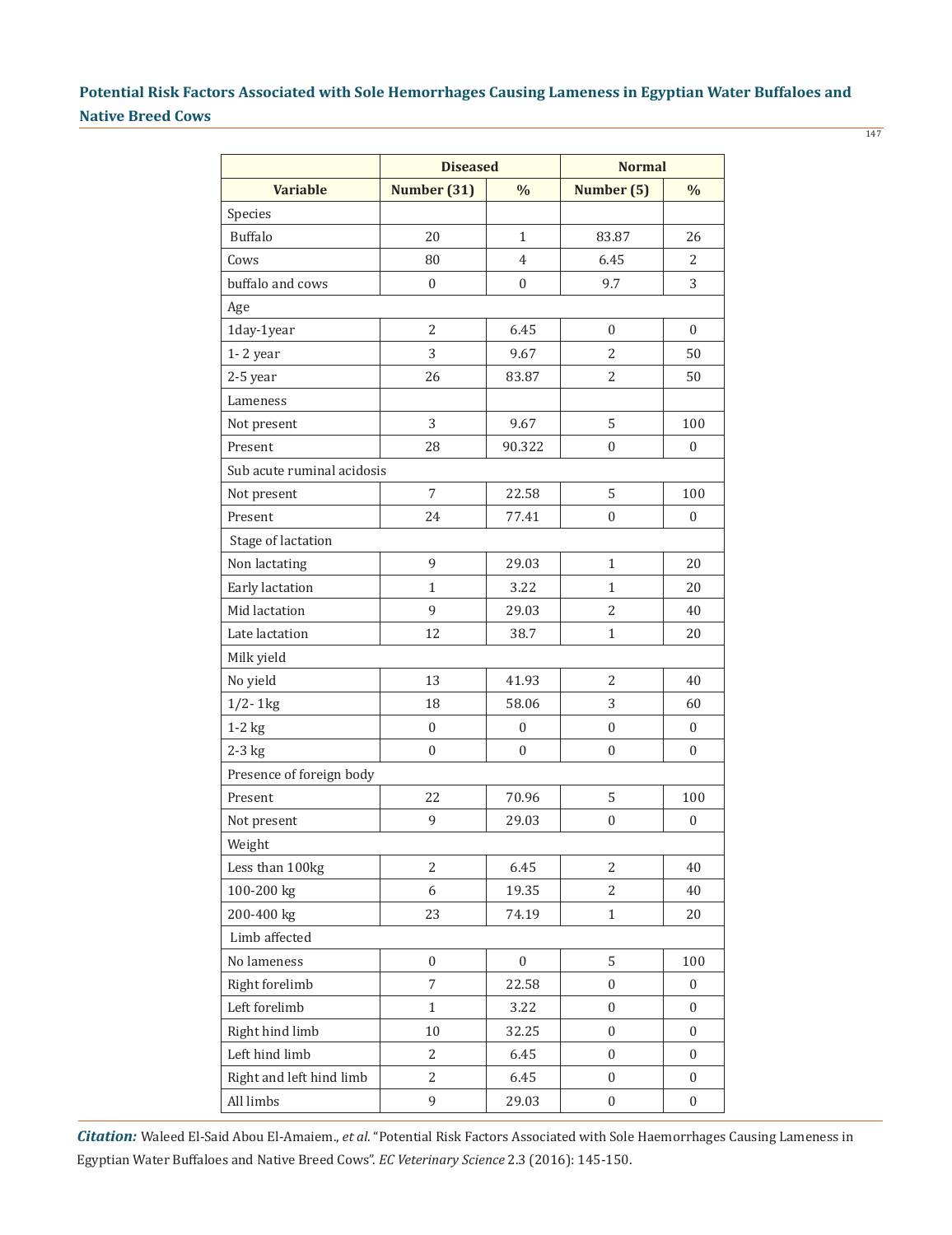|                            | <b>Diseased</b>              |                  | <b>Normal</b>    |                  |  |  |
|----------------------------|------------------------------|------------------|------------------|------------------|--|--|
| <b>Variable</b>            | Number (31)<br>$\frac{0}{0}$ |                  | Number (5)       | $\frac{0}{0}$    |  |  |
| Species                    |                              |                  |                  |                  |  |  |
| <b>Buffalo</b>             | 20                           | $\mathbf{1}$     | 83.87            | 26               |  |  |
| Cows                       | 80                           | $\overline{4}$   | 6.45             | 2                |  |  |
| buffalo and cows           | $\boldsymbol{0}$             | $\boldsymbol{0}$ | 9.7              | 3                |  |  |
| Age                        |                              |                  |                  |                  |  |  |
| 1day-1year                 | 2                            | 6.45             | $\theta$         | $\boldsymbol{0}$ |  |  |
| 1-2 year                   | 3                            | 9.67             | $\overline{2}$   | 50               |  |  |
| 2-5 year                   | 26                           | 83.87            | $\overline{2}$   | 50               |  |  |
| Lameness                   |                              |                  |                  |                  |  |  |
| Not present                | 3                            | 9.67             | 5                | 100              |  |  |
| Present                    | 28                           | 90.322           | $\mathbf{0}$     | $\boldsymbol{0}$ |  |  |
| Sub acute ruminal acidosis |                              |                  |                  |                  |  |  |
| Not present                | 7                            | 22.58            | 5                | 100              |  |  |
| Present                    | 24                           | 77.41            | $\theta$         | $\boldsymbol{0}$ |  |  |
| Stage of lactation         |                              |                  |                  |                  |  |  |
| Non lactating              | 9                            | 29.03            | $\mathbf{1}$     | 20               |  |  |
| Early lactation            | $\mathbf{1}$                 | 3.22             | $\mathbf{1}$     | 20               |  |  |
| Mid lactation              | 9                            | 29.03            | $\overline{2}$   | 40               |  |  |
| Late lactation             | 12                           | 38.7             | $\mathbf{1}$     | 20               |  |  |
| Milk yield                 |                              |                  |                  |                  |  |  |
| No yield                   | 13                           | 41.93            | $\overline{2}$   | 40               |  |  |
| $1/2 - 1$ kg               | 18                           | 58.06            | 3                | 60               |  |  |
| $1-2$ kg                   | $\boldsymbol{0}$             | $\boldsymbol{0}$ | $\mathbf{0}$     | $\boldsymbol{0}$ |  |  |
| $2-3$ kg                   | $\boldsymbol{0}$             | $\boldsymbol{0}$ | $\theta$         | $\boldsymbol{0}$ |  |  |
| Presence of foreign body   |                              |                  |                  |                  |  |  |
| Present                    | 22                           | 70.96            | 5                | 100              |  |  |
| Not present                | 9                            | 29.03            | $\boldsymbol{0}$ | $\boldsymbol{0}$ |  |  |
| Weight                     |                              |                  |                  |                  |  |  |
| Less than 100kg            | 2                            | 6.45             | $\mathbf{2}$     | 40               |  |  |
| 100-200 kg                 | 6                            | 19.35            | 2                | 40               |  |  |
| 200-400 kg                 | 23                           | 74.19            | $\mathbf{1}$     | 20               |  |  |
| Limb affected              |                              |                  |                  |                  |  |  |
| No lameness                | $\boldsymbol{0}$             | $\boldsymbol{0}$ | 5                | 100              |  |  |
| Right forelimb             | $\overline{7}$               | 22.58            | 0                | $\boldsymbol{0}$ |  |  |
| Left forelimb              | $\mathbf{1}$                 | 3.22             | $\boldsymbol{0}$ | $\mathbf{0}$     |  |  |
| Right hind limb            | 10                           | 32.25            | 0                | 0                |  |  |
| Left hind limb             | 2                            | 6.45             | $\boldsymbol{0}$ | $\boldsymbol{0}$ |  |  |
| Right and left hind limb   | 2                            | 6.45             | $\overline{0}$   | 0                |  |  |
| All limbs                  | 9                            | 29.03            | $\boldsymbol{0}$ | 0                |  |  |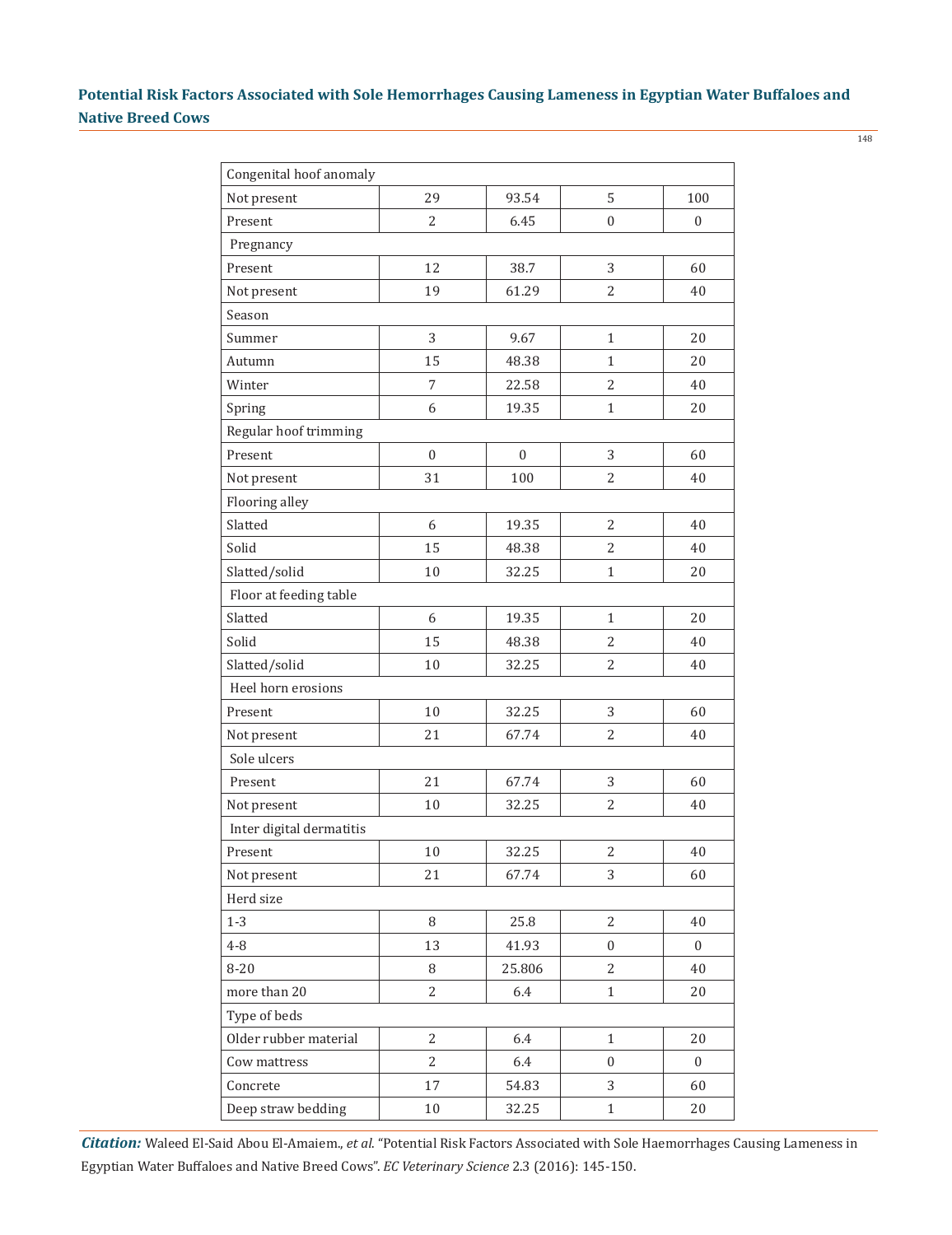| Congenital hoof anomaly  |              |              |                  |                  |  |  |
|--------------------------|--------------|--------------|------------------|------------------|--|--|
| Not present              | 29           | 93.54        | 5                | 100              |  |  |
| Present                  | 2            | 6.45         | $\boldsymbol{0}$ | $\mathbf{0}$     |  |  |
| Pregnancy                |              |              |                  |                  |  |  |
| Present                  | 12           | 38.7         | 3                | 60               |  |  |
| Not present              | 19           | 61.29        | $\overline{2}$   | 40               |  |  |
| Season                   |              |              |                  |                  |  |  |
| Summer                   | 3            | 9.67         | $\mathbf{1}$     | 20               |  |  |
| Autumn                   | 15           | 48.38        | $\mathbf{1}$     | 20               |  |  |
| Winter                   | 7            | 22.58        | $\overline{2}$   | 40               |  |  |
| Spring                   | 6            | 19.35        | $\mathbf{1}$     | 20               |  |  |
| Regular hoof trimming    |              |              |                  |                  |  |  |
| Present                  | $\mathbf{0}$ | $\mathbf{0}$ | 3                | 60               |  |  |
| Not present              | 31           | 100          | $\overline{2}$   | 40               |  |  |
| Flooring alley           |              |              |                  |                  |  |  |
| Slatted                  | 6            | 19.35        | $\overline{2}$   | 40               |  |  |
| Solid                    | 15           | 48.38        | $\overline{2}$   | 40               |  |  |
| Slatted/solid            | 10           | 32.25        | $\mathbf{1}$     | 20               |  |  |
| Floor at feeding table   |              |              |                  |                  |  |  |
| Slatted                  | 6            | 19.35        | $\mathbf{1}$     | 20               |  |  |
| Solid                    | 15           | 48.38        | $\overline{2}$   | 40               |  |  |
| Slatted/solid            | 10           | 32.25        | $\overline{2}$   | 40               |  |  |
| Heel horn erosions       |              |              |                  |                  |  |  |
| Present                  | 10           | 32.25        | 3                | 60               |  |  |
| Not present              | 21           | 67.74        | 2                | 40               |  |  |
| Sole ulcers              |              |              |                  |                  |  |  |
| Present                  | 21           | 67.74        | 3                | 60               |  |  |
| Not present              | 10           | 32.25        | $\overline{2}$   | 40               |  |  |
| Inter digital dermatitis |              |              |                  |                  |  |  |
| Present                  | 10           | 32.25        | $\overline{2}$   | 40               |  |  |
| Not present              | 21           | 67.74        | 3                | 60               |  |  |
| Herd size                |              |              |                  |                  |  |  |
| $1 - 3$                  | 8            | 25.8         | 2                | 40               |  |  |
| $4 - 8$                  | 13           | 41.93        | $\boldsymbol{0}$ | $\boldsymbol{0}$ |  |  |
| $8 - 20$                 | 8            | 25.806       | 2                | 40               |  |  |
| more than 20             | 2            | 6.4          | $\mathbf{1}$     | 20               |  |  |
| Type of beds             |              |              |                  |                  |  |  |
| Older rubber material    | 2            | 6.4          | $\mathbf{1}$     | 20               |  |  |
| Cow mattress             | 2            | 6.4          | $\boldsymbol{0}$ | $\boldsymbol{0}$ |  |  |
| Concrete                 | 17           | 54.83        | 3                | 60               |  |  |
| Deep straw bedding       | 10           | 32.25        | $\mathbf{1}$     | 20               |  |  |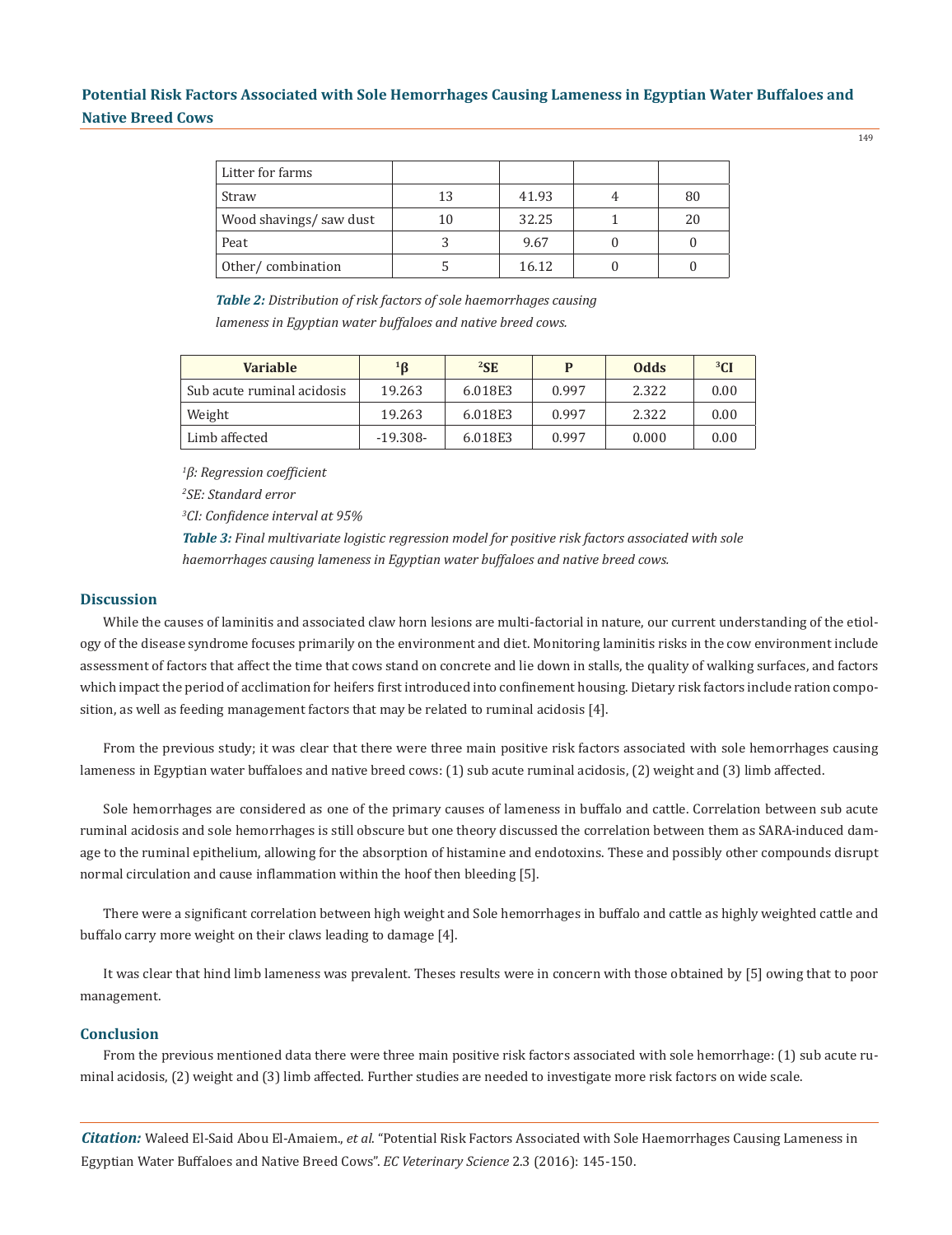| Litter for farms       |    |       |    |
|------------------------|----|-------|----|
| Straw                  | 13 | 41.93 | 80 |
| Wood shavings/saw dust | 10 | 32.25 | 20 |
| Peat                   |    | 9.67  |    |
| Other/combination      |    | 16.12 |    |

*Table 2: Distribution of risk factors of sole haemorrhages causing lameness in Egyptian water buffaloes and native breed cows.*

| <b>Variable</b>            | $1\text{B}$ | ${}^{2}$ SE | P     | <b>Odds</b> | ${}^{3}$ CI |
|----------------------------|-------------|-------------|-------|-------------|-------------|
| Sub acute ruminal acidosis | 19.263      | 6.018E3     | 0.997 | 2.322       | 0.00        |
| Weight                     | 19.263      | 6.018E3     | 0.997 | 2.322       | 0.00        |
| Limb affected              | $-19.308-$  | 6.018E3     | 0.997 | 0.000       | 0.00        |

*1 β: Regression coefficient*

*2 SE: Standard error*

*3 CI: Confidence interval at 95%*

*Table 3: Final multivariate logistic regression model for positive risk factors associated with sole haemorrhages causing lameness in Egyptian water buffaloes and native breed cows.* 

#### **Discussion**

While the causes of laminitis and associated claw horn lesions are multi-factorial in nature, our current understanding of the etiology of the disease syndrome focuses primarily on the environment and diet. Monitoring laminitis risks in the cow environment include assessment of factors that affect the time that cows stand on concrete and lie down in stalls, the quality of walking surfaces, and factors which impact the period of acclimation for heifers first introduced into confinement housing. Dietary risk factors include ration composition, as well as feeding management factors that may be related to ruminal acidosis [4].

From the previous study; it was clear that there were three main positive risk factors associated with sole hemorrhages causing lameness in Egyptian water buffaloes and native breed cows: (1) sub acute ruminal acidosis, (2) weight and (3) limb affected.

Sole hemorrhages are considered as one of the primary causes of lameness in buffalo and cattle. Correlation between sub acute ruminal acidosis and sole hemorrhages is still obscure but one theory discussed the correlation between them as SARA-induced damage to the ruminal epithelium, allowing for the absorption of histamine and endotoxins. These and possibly other compounds disrupt normal circulation and cause inflammation within the hoof then bleeding [5].

There were a significant correlation between high weight and Sole hemorrhages in buffalo and cattle as highly weighted cattle and buffalo carry more weight on their claws leading to damage [4].

It was clear that hind limb lameness was prevalent. Theses results were in concern with those obtained by [5] owing that to poor management.

### **Conclusion**

From the previous mentioned data there were three main positive risk factors associated with sole hemorrhage: (1) sub acute ruminal acidosis, (2) weight and (3) limb affected. Further studies are needed to investigate more risk factors on wide scale.